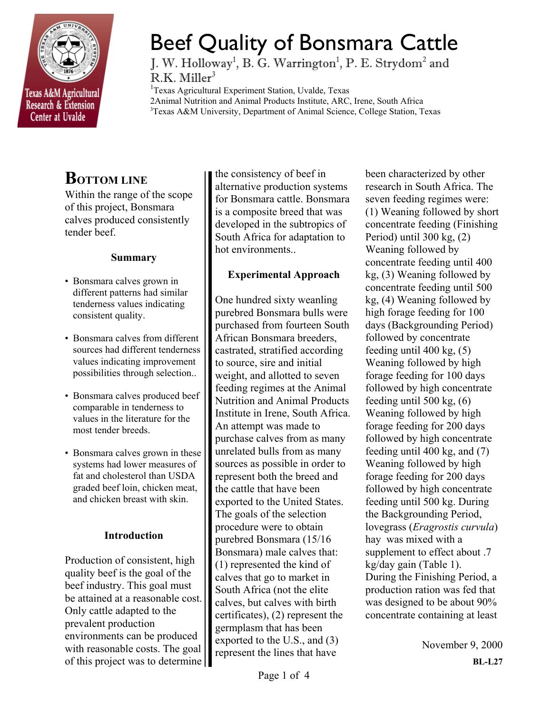

# Beef Quality of Bonsmara Cattle

J. W. Holloway<sup>1</sup>, B. G. Warrington<sup>1</sup>, P. E. Strydom<sup>2</sup> and  $R.K.$  Miller<sup>3</sup>

<sup>1</sup>Texas Agricultural Experiment Station, Uvalde, Texas 2Animal Nutrition and Animal Products Institute, ARC, Irene, South Africa 3 Texas A&M University, Department of Animal Science, College Station, Texas

## **BOTTOM LINE**

Within the range of the scope of this project, Bonsmara calves produced consistently tender beef.

## **Summary**

- Bonsmara calves grown in different patterns had similar tenderness values indicating consistent quality.
- Bonsmara calves from different sources had different tenderness values indicating improvement possibilities through selection..
- Bonsmara calves produced beef comparable in tenderness to values in the literature for the most tender breeds.
- Bonsmara calves grown in these systems had lower measures of fat and cholesterol than USDA graded beef loin, chicken meat, and chicken breast with skin.

## **Introduction**

Production of consistent, high quality beef is the goal of the beef industry. This goal must be attained at a reasonable cost. Only cattle adapted to the prevalent production environments can be produced with reasonable costs. The goal of this project was to determine the consistency of beef in alternative production systems for Bonsmara cattle. Bonsmara is a composite breed that was developed in the subtropics of South Africa for adaptation to hot environments..

## **Experimental Approach**

One hundred sixty weanling purebred Bonsmara bulls were purchased from fourteen South African Bonsmara breeders, castrated, stratified according to source, sire and initial weight, and allotted to seven feeding regimes at the Animal Nutrition and Animal Products Institute in Irene, South Africa. An attempt was made to purchase calves from as many unrelated bulls from as many sources as possible in order to represent both the breed and the cattle that have been exported to the United States. The goals of the selection procedure were to obtain purebred Bonsmara (15/16 Bonsmara) male calves that: (1) represented the kind of calves that go to market in South Africa (not the elite calves, but calves with birth certificates), (2) represent the germplasm that has been exported to the U.S., and (3) represent the lines that have

been characterized by other research in South Africa. The seven feeding regimes were: (1) Weaning followed by short concentrate feeding (Finishing Period) until 300 kg, (2) Weaning followed by concentrate feeding until 400 kg, (3) Weaning followed by concentrate feeding until 500 kg, (4) Weaning followed by high forage feeding for 100 days (Backgrounding Period) followed by concentrate feeding until 400 kg, (5) Weaning followed by high forage feeding for 100 days followed by high concentrate feeding until 500 kg, (6) Weaning followed by high forage feeding for 200 days followed by high concentrate feeding until 400 kg, and (7) Weaning followed by high forage feeding for 200 days followed by high concentrate feeding until 500 kg. During the Backgrounding Period, lovegrass (*Eragrostis curvula*) hay was mixed with a supplement to effect about .7 kg/day gain (Table 1). During the Finishing Period, a production ration was fed that was designed to be about 90% concentrate containing at least

> November 9, 2000 **BL-L27**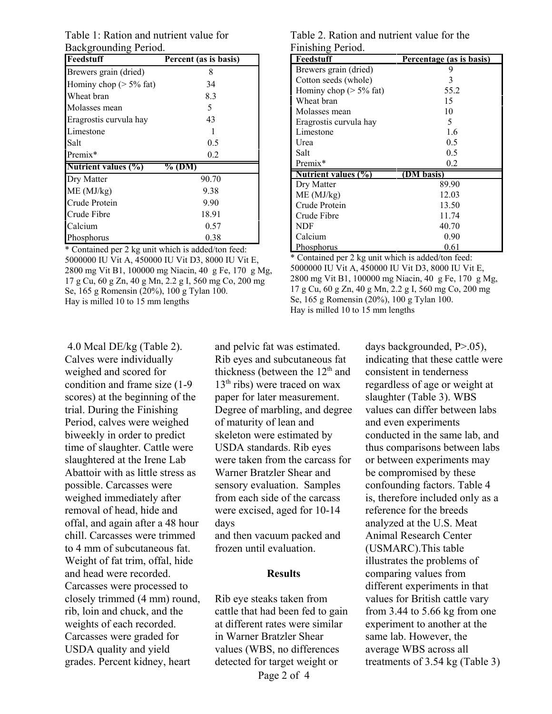Table 1: Ration and nutrient value for Backgrounding Period.

| Feedstuff                  | Percent (as is basis) |
|----------------------------|-----------------------|
| Brewers grain (dried)      | 8                     |
| Hominy chop ( $> 5\%$ fat) | 34                    |
| Wheat bran                 | 8.3                   |
| Molasses mean              | 5                     |
| Eragrostis curvula hay     | 43                    |
| Limestone                  |                       |
| Salt                       | 0.5                   |
| Premix*                    | 0.2                   |
| Nutrient values (%)        | % (DM)                |
| Dry Matter                 | 90.70                 |
| ME (MJ/kg)                 | 9.38                  |
| Crude Protein              | 9.90                  |
| Crude Fibre                | 18.91                 |
| Calcium                    | 0.57                  |
| Phosphorus                 | 0.38                  |

\* Contained per 2 kg unit which is added/ton feed: 5000000 IU Vit A, 450000 IU Vit D3, 8000 IU Vit E, 2800 mg Vit B1, 100000 mg Niacin, 40 g Fe, 170 g Mg, 17 g Cu, 60 g Zn, 40 g Mn, 2.2 g I, 560 mg Co, 200 mg Se, 165 g Romensin (20%), 100 g Tylan 100. Hay is milled 10 to 15 mm lengths

Table 2. Ration and nutrient value for the Finishing Period.

| Feedstuff                  | Percentage (as is basis) |
|----------------------------|--------------------------|
| Brewers grain (dried)      | 9                        |
| Cotton seeds (whole)       | 3                        |
| Hominy chop ( $> 5\%$ fat) | 55.2                     |
| Wheat bran                 | 15                       |
| Molasses mean              | 10                       |
| Eragrostis curvula hay     | 5                        |
| Limestone                  | 1.6                      |
| Urea                       | 0.5                      |
| Salt                       | 0.5                      |
| Premix*                    | 0.2                      |
| <b>Nutrient values (%)</b> | (DM basis)               |
| Dry Matter                 | 89.90                    |
| ME (MJ/kg)                 | 12.03                    |
| Crude Protein              | 13.50                    |
| Crude Fibre                | 11.74                    |
| <b>NDF</b>                 | 40.70                    |
| Calcium                    | 0.90                     |
| <u>Phosphorus</u><br>.     | 0.61                     |

\* Contained per 2 kg unit which is added/ton feed: 5000000 IU Vit A, 450000 IU Vit D3, 8000 IU Vit E, 2800 mg Vit B1, 100000 mg Niacin, 40 g Fe, 170 g Mg, 17 g Cu, 60 g Zn, 40 g Mn, 2.2 g I, 560 mg Co, 200 mg Se, 165 g Romensin (20%), 100 g Tylan 100. Hay is milled 10 to 15 mm lengths

 4.0 Mcal DE/kg (Table 2). Calves were individually weighed and scored for condition and frame size (1-9 scores) at the beginning of the trial. During the Finishing Period, calves were weighed biweekly in order to predict time of slaughter. Cattle were slaughtered at the Irene Lab Abattoir with as little stress as possible. Carcasses were weighed immediately after removal of head, hide and offal, and again after a 48 hour chill. Carcasses were trimmed to 4 mm of subcutaneous fat. Weight of fat trim, offal, hide and head were recorded. Carcasses were processed to closely trimmed (4 mm) round, rib, loin and chuck, and the weights of each recorded. Carcasses were graded for USDA quality and yield grades. Percent kidney, heart

and pelvic fat was estimated. Rib eyes and subcutaneous fat thickness (between the  $12<sup>th</sup>$  and  $13<sup>th</sup>$  ribs) were traced on wax paper for later measurement. Degree of marbling, and degree of maturity of lean and skeleton were estimated by USDA standards. Rib eyes were taken from the carcass for Warner Bratzler Shear and sensory evaluation. Samples from each side of the carcass were excised, aged for 10-14 days

and then vacuum packed and frozen until evaluation.

#### **Results**

Rib eye steaks taken from cattle that had been fed to gain at different rates were similar in Warner Bratzler Shear values (WBS, no differences detected for target weight or

indicating that these cattle were consistent in tenderness regardless of age or weight at slaughter (Table 3). WBS values can differ between labs and even experiments conducted in the same lab, and thus comparisons between labs or between experiments may be compromised by these confounding factors. Table 4 is, therefore included only as a reference for the breeds analyzed at the U.S. Meat Animal Research Center (USMARC).This table illustrates the problems of comparing values from different experiments in that values for British cattle vary from 3.44 to 5.66 kg from one experiment to another at the same lab. However, the average WBS across all treatments of 3.54 kg (Table 3)

days backgrounded, P>.05),

Page 2 of 4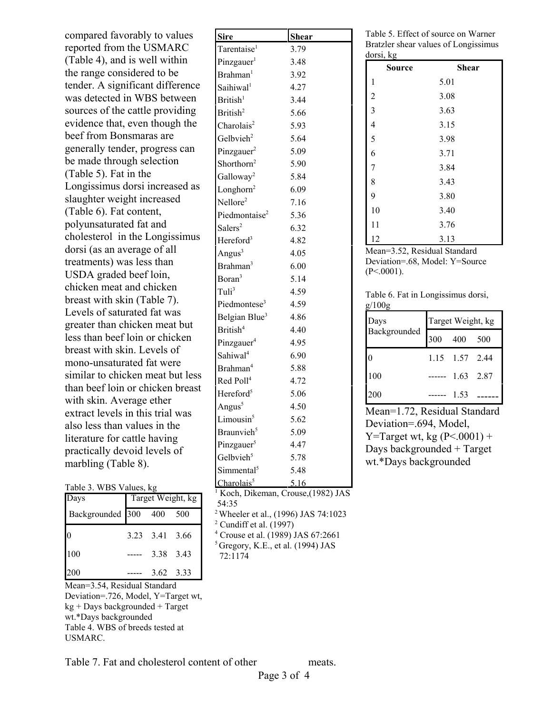compared favorably to values reported from the USMARC (Table 4), and is well within the range considered to be tender. A significant difference was detected in WBS between sources of the cattle providing evidence that, even though the beef from Bonsmaras are generally tender, progress can be made through selection (Table 5). Fat in the Longissimus dorsi increased as slaughter weight increased (Table 6). Fat content, polyunsaturated fat and cholesterol in the Longissimus dorsi (as an average of all treatments) was less than USDA graded beef loin, chicken meat and chicken breast with skin (Table 7). Levels of saturated fat was greater than chicken meat but less than beef loin or chicken breast with skin. Levels of mono-unsaturated fat were similar to chicken meat but less than beef loin or chicken breast with skin. Average ether extract levels in this trial was also less than values in the literature for cattle having practically devoid levels of marbling (Table 8).

#### Table 3. WBS Values, kg

| Days                 | Target Weight, kg |                |     |  |
|----------------------|-------------------|----------------|-----|--|
| Backgrounded 300 400 |                   |                | 500 |  |
| $\boldsymbol{0}$     |                   | 3.23 3.41 3.66 |     |  |
| 100                  |                   | 3.38 3.43      |     |  |
| 200                  |                   | 3.62 3.33      |     |  |

Mean=3.54, Residual Standard Deviation=.726, Model, Y=Target wt, kg + Days backgrounded + Target wt.\*Days backgrounded Table 4. WBS of breeds tested at USMARC.

| <b>Sire</b>               | <b>Shear</b> |
|---------------------------|--------------|
| Tarentaise <sup>1</sup>   | 3.79         |
| Pinzgauer <sup>1</sup>    | 3.48         |
| Brahman <sup>1</sup>      | 3.92         |
| Saihiwal <sup>1</sup>     | 4.27         |
| British <sup>1</sup>      | 3.44         |
| British <sup>2</sup>      | 5.66         |
| Charolais <sup>2</sup>    | 5.93         |
| Gelbvieh <sup>2</sup>     | 5.64         |
| Pinzgauer <sup>2</sup>    | 5.09         |
| Shorthorn <sup>2</sup>    | 5.90         |
| Galloway <sup>2</sup>     | 5.84         |
| Longhorn <sup>2</sup>     | 6.09         |
| Nellore <sup>2</sup>      | 7.16         |
| Piedmontaise <sup>2</sup> | 5.36         |
| Salers <sup>2</sup>       | 6.32         |
| Hereford <sup>3</sup>     | 4.82         |
| Angus $3$                 | 4.05         |
| Brahman <sup>3</sup>      | 6.00         |
| Boran <sup>3</sup>        | 5.14         |
| Tul <sup>3</sup>          | 4.59         |
| Piedmontese <sup>3</sup>  | 4.59         |
| Belgian Blue <sup>3</sup> | 4.86         |
| British <sup>4</sup>      | 4.40         |
| Pinzgauer <sup>4</sup>    | 4.95         |
| Sahiwal <sup>4</sup>      | 6.90         |
| Brahman <sup>4</sup>      | 5.88         |
| Red Poll <sup>4</sup>     | 4.72         |
| Hereford <sup>5</sup>     | 5.06         |
| Angus <sup>5</sup>        | 4.50         |
| Limousin <sup>5</sup>     | 5.62         |
| Braunvieh <sup>5</sup>    | 5.09         |
| Pinzgauer <sup>5</sup>    | 4.47         |
| Gelbvieh <sup>5</sup>     | 5.78         |
| Simmental <sup>5</sup>    | 5.48         |
| Charolais <sup>5</sup>    | 5.16         |

<sup>1</sup> Koch, Dikeman, Crouse, (1982) JAS 54:35

2 Wheeler et al., (1996) JAS 74:1023

 $<sup>2</sup>$  Cundiff et al. (1997)</sup>

4 Crouse et al. (1989) JAS 67:2661

 $<sup>5</sup>$  Gregory, K.E., et al. (1994) JAS</sup> 72:1174

Table 5. Effect of source on Warner Bratzler shear values of Longissimus dorsi, kg

| uvisi, ag<br><b>Source</b> | <b>Shear</b> |
|----------------------------|--------------|
| 1                          | 5.01         |
| $\overline{c}$             | 3.08         |
| 3                          | 3.63         |
| $\overline{\mathcal{L}}$   | 3.15         |
| 5                          | 3.98         |
| 6                          | 3.71         |
| 7                          | 3.84         |
| 8                          | 3.43         |
| 9                          | 3.80         |
| 10                         | 3.40         |
| 11                         | 3.76         |
| 12                         | 3.13         |

Mean=3.52, Residual Standard Deviation=.68, Model: Y=Source  $(P<.0001)$ .

Table 6. Fat in Longissimus dorsi,  $g/100g$ 

| Days<br>Backgrounded 300 400 500 | Target Weight, kg |                  |  |  |
|----------------------------------|-------------------|------------------|--|--|
|                                  |                   |                  |  |  |
| 0                                |                   | 1.15 1.57 2.44   |  |  |
| 100                              |                   | ------ 1.63 2.87 |  |  |
| 200                              |                   | 1.53             |  |  |

Mean=1.72, Residual Standard Deviation=.694, Model, Y=Target wt, kg  $(P<.0001)$  + Days backgrounded + Target wt.\*Days backgrounded

Table 7. Fat and cholesterol content of other meats.

Page 3 of 4